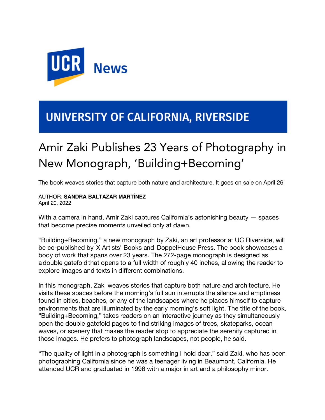

## UNIVERSITY OF CALIFORNIA, RIVERSIDE

## Amir Zaki Publishes 23 Years of Photography in New Monograph, 'Building+Becoming'

The book weaves stories that capture both nature and architecture. It goes on sale on April 26

## AUTHOR: **SANDRA BALTAZAR MARTÍNEZ** April 20, 2022

With a camera in hand, Amir Zaki captures California's astonishing beauty — spaces that become precise moments unveiled only at dawn.

"Building+Becoming," a new monograph by Zaki, an art professor at UC Riverside, will be co-published by X Artists' Books and DoppelHouse Press. The book showcases a body of work that spans over 23 years. The 272-page monograph is designed as adouble gatefoldthat opens to a full width of roughly 40 inches, allowing the reader to explore images and texts in different combinations.

In this monograph, Zaki weaves stories that capture both nature and architecture. He visits these spaces before the morning's full sun interrupts the silence and emptiness found in cities, beaches, or any of the landscapes where he places himself to capture environments that are illuminated by the early morning's soft light. The title of the book, "Building+Becoming," takes readers on an interactive journey as they simultaneously open the double gatefold pages to find striking images of trees, skateparks, ocean waves, or scenery that makes the reader stop to appreciate the serenity captured in those images. He prefers to photograph landscapes, not people, he said.

"The quality of light in a photograph is something I hold dear," said Zaki, who has been photographing California since he was a teenager living in Beaumont, California. He attended UCR and graduated in 1996 with a major in art and a philosophy minor.